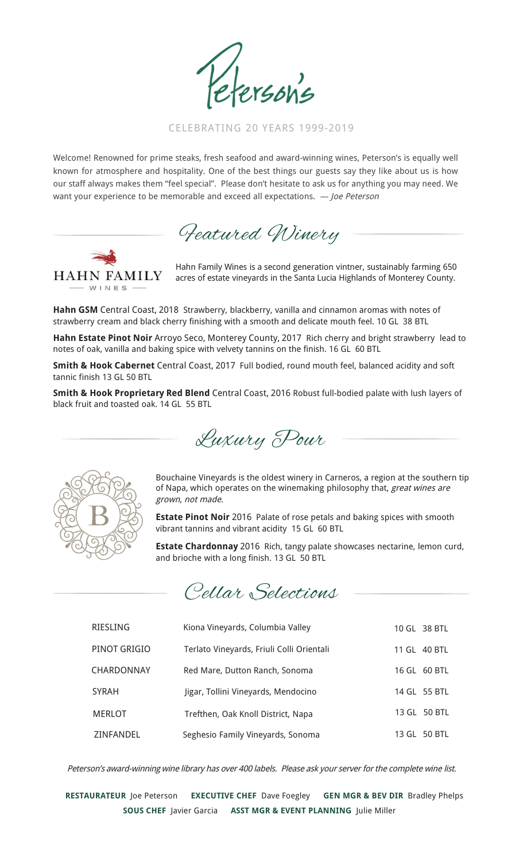,<br>1564 -

CELEBRATING 20 YEARS 1999-2019

Welcome! Renowned for prime steaks, fresh seafood and award-winning wines, Peterson's is equally well known for atmosphere and hospitality. One of the best things our guests say they like about us is how our staff always makes them "feel special". Please don't hesitate to ask us for anything you may need. We want your experience to be memorable and exceed all expectations. *―* Joe Peterson

Featured Winery



Hahn Family Wines is a second generation vintner, sustainably farming 650

acres of estate vineyards in the Santa Lucia Highlands of Monterey County.

**Hahn GSM** Central Coast, 2018 Strawberry, blackberry, vanilla and cinnamon aromas with notes of strawberry cream and black cherry finishing with a smooth and delicate mouth feel. 10 GL 38 BTL

**Hahn Estate Pinot Noir** Arroyo Seco, Monterey County, 2017 Rich cherry and bright strawberry lead to notes of oak, vanilla and baking spice with velvety tannins on the finish. 16 GL 60 BTL

**Smith & Hook Cabernet** Central Coast, 2017 Full bodied, round mouth feel, balanced acidity and soft tannic finish 13 GL 50 BTL

**Smith & Hook Proprietary Red Blend** Central Coast, 2016 Robust full-bodied palate with lush layers of black fruit and toasted oak. 14 GL 55 BTL

Luxury Pour



Bouchaine Vineyards is the oldest winery in Carneros, a region at the southern tip of Napa, which operates on the winemaking philosophy that, great wines are grown, not made.

**Estate Pinot Noir** 2016 Palate of rose petals and baking spices with smooth vibrant tannins and vibrant acidity 15 GL 60 BTL

**Estate Chardonnay** 2016 Rich, tangy palate showcases nectarine, lemon curd, and brioche with a long finish. 13 GL 50 BTL



| <b>RIESLING</b> | Kiona Vineyards, Columbia Valley          | 10 GL 38 BTL |
|-----------------|-------------------------------------------|--------------|
| PINOT GRIGIO    | Terlato Vineyards, Friuli Colli Orientali | 11 GL 40 BTL |
| CHARDONNAY      | Red Mare, Dutton Ranch, Sonoma            | 16 GL 60 BTL |
| <b>SYRAH</b>    | Jigar, Tollini Vineyards, Mendocino       | 14 GL 55 BTL |
| <b>MERLOT</b>   | Trefthen, Oak Knoll District, Napa        | 13 GL 50 BTL |
| ZINFANDEL       | Seghesio Family Vineyards, Sonoma         | 13 GL 50 BTL |

Peterson's award-winning wine library has over 400 labels. Please ask your server for the complete wine list.

**RESTAURATEUR** Joe Peterson **EXECUTIVE CHEF** Dave Foegley **GEN MGR & BEV DIR** Bradley Phelps **SOUS CHEF** Javier Garcia **ASST MGR & EVENT PLANNING** Julie Miller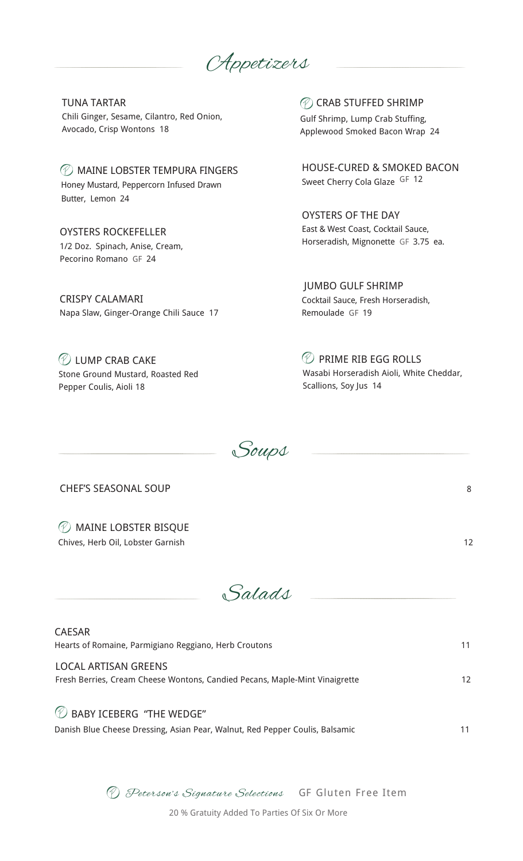Appetizers

TUNA TARTAR Chili Ginger, Sesame, Cilantro, Red Onion, Avocado, Crisp Wontons 18

MAINE LOBSTER TEMPURA FINGERS Honey Mustard, Peppercorn Infused Drawn Butter, Lemon 24

OYSTERS ROCKEFELLER 1/2 Doz. Spinach, Anise, Cream, Pecorino Romano GF 24

CRISPY CALAMARI Napa Slaw, Ginger-Orange Chili Sauce 17

*C* LUMP CRAB CAKE Stone Ground Mustard, Roasted Red Pepper Coulis, Aioli 18

*©* CRAB STUFFED SHRIMP

Gulf Shrimp, Lump Crab Stuffing, Applewood Smoked Bacon Wrap 24

HOUSE-CURED & SMOKED BACON Sweet Cherry Cola Glaze GF 12

OYSTERS OF THE DAY East & West Coast, Cocktail Sauce, Horseradish, Mignonette GF 3.75 ea.

JUMBO GULF SHRIMP Cocktail Sauce, Fresh Horseradish, Remoulade GF 19

**PRIME RIB EGG ROLLS** Wasabi Horseradish Aioli, White Cheddar, Scallions, Soy Jus 14



CHEF'S SEASONAL SOUP 8

*<sup><i>©***</sup>** MAINE LOBSTER BISQUE Chives, Herb Oil, Lobster Garnish 12

Salads

CAESAR Hearts of Romaine, Parmigiano Reggiano, Herb Croutons 11 BABY ICEBERG "THE WEDGE" Danish Blue Cheese Dressing, Asian Pear, Walnut, Red Pepper Coulis, Balsamic LOCAL ARTISAN GREENS Fresh Berries, Cream Cheese Wontons, Candied Pecans, Maple-Mint Vinaigrette 12 11

**D** Peterson's Signature Selections GF Gluten Free Item

20 % Gratuity Added To Parties Of Six Or More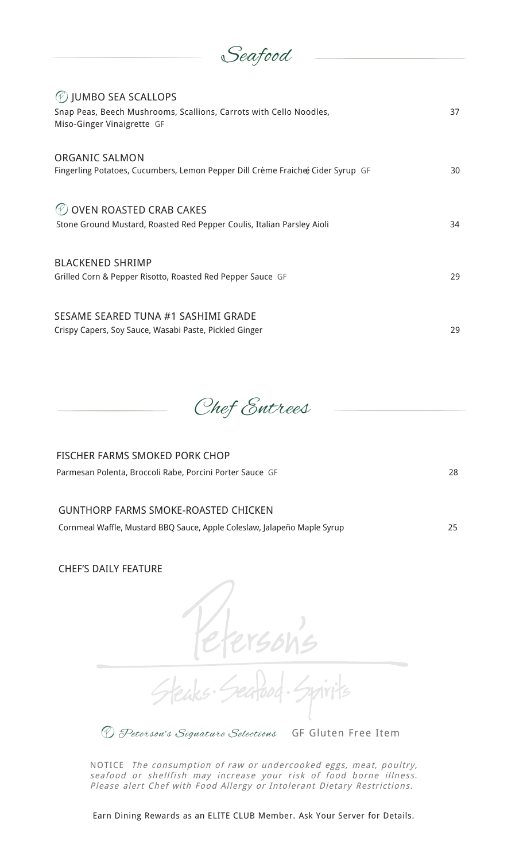Seafood

| <b><i>1</i></b> JUMBO SEA SCALLOPS                                                                       |    |
|----------------------------------------------------------------------------------------------------------|----|
| Snap Peas, Beech Mushrooms, Scallions, Carrots with Cello Noodles,<br>Miso-Ginger Vinaigrette GF         | 37 |
| <b>ORGANIC SALMON</b><br>Fingerling Potatoes, Cucumbers, Lemon Pepper Dill Crème Fraiche Cider Syrup GF  | 30 |
| <b>OVEN ROASTED CRAB CAKES</b><br>Stone Ground Mustard, Roasted Red Pepper Coulis, Italian Parsley Aioli | 34 |
| <b>BLACKENED SHRIMP</b><br>Grilled Corn & Pepper Risotto, Roasted Red Pepper Sauce GF                    | 29 |
| SESAME SEARED TUNA #1 SASHIMI GRADE<br>Crispy Capers, Soy Sauce, Wasabi Paste, Pickled Ginger            | 29 |

Chef Entrees

## FISCHER FARMS SMOKED PORK CHOP

Parmesan Polenta, Broccoli Rabe, Porcini Porter Sauce GF 28

## GUNTHORP FARMS SMOKE-ROASTED CHICKEN

Cornmeal Waffle, Mustard BBQ Sauce, Apple Coleslaw, Jalapeño Maple Syrup 25

CHEF'S DAILY FEATURE

Peterson's Signature Selections GF Gluten Free Item

NOTICE The consumption of raw or undercooked eggs, meat, poultry, seafood or shellfish may increase your risk of food borne illness. Please alert Chef with Food Allergy or Intolerant Dietary Restrictions.

Earn Dining Rewards as an ELITE CLUB Member. Ask Your Server for Details.